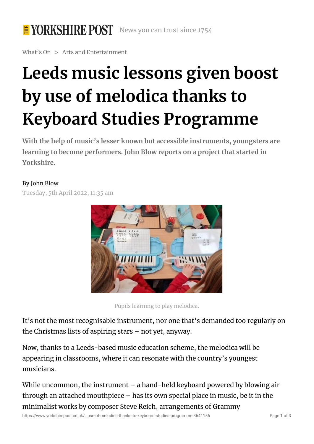### **E YORKSHIRE POST** News you can trust since 1754

What's On > Arts and Entertainment

# **Leeds music lessons given boost by use of melodica thanks to Keyboard Studies Programme**

**With the help of music's lesser known but accessible instruments, youngsters are learning to become performers. John Blow reports on a project that started in Yorkshire.**

### By John [Blow](https://www.yorkshirepost.co.uk/news/opinion/columnists/choirs-and-the-joy-of-singing-this-christmas-bishop-marcus-stock-3504235#)

Tuesday, 5th April 2022, 11:35 am



Pupils learning to play melodica.

It's not the most recognisable instrument, nor one that's demanded too regularly on the Christmas lists of aspiring stars – not yet, anyway.

Now, thanks to a Leeds-based music education scheme, the melodica will be appearing in classrooms, where it can resonate with the country's youngest musicians.

While uncommon, the instrument – a hand-held keyboard powered by blowing air through an attached mouthpiece – has its own special place in music, be it in the minimalist works by composer Steve Reich, arrangements of Grammy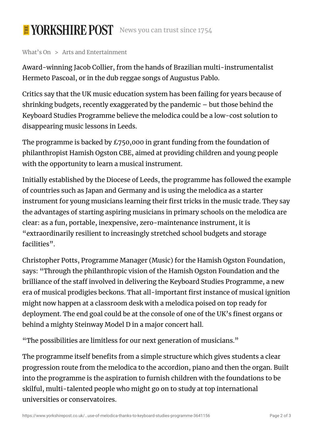## E YORKSHIRE POST News you can trust since 1754

### What's On > Arts and Entertainment

Award-winning Jacob Collier, from the hands of Brazilian multi-instrumentalist Hermeto Pascoal, or in the dub reggae songs of Augustus Pablo.

Critics say that the UK music education system has been failing for years because of shrinking budgets, recently exaggerated by the pandemic – but those behind the Keyboard Studies Programme believe the melodica could be a low-cost solution to disappearing music lessons in Leeds.

The programme is backed by £750,000 in grant funding from the foundation of philanthropist Hamish Ogston CBE, aimed at providing children and young people with the opportunity to learn a musical instrument.

Initially established by the Diocese of Leeds, the programme has followed the example of countries such as Japan and Germany and is using the melodica as a starter instrument for young musicians learning their first tricks in the music trade. They say the advantages of starting aspiring musicians in primary schools on the melodica are clear: as a fun, portable, inexpensive, zero-maintenance instrument, it is "extraordinarily resilient to increasingly stretched school budgets and storage facilities".

Christopher Potts, Programme Manager (Music) for the Hamish Ogston Foundation, says: "Through the philanthropic vision of the Hamish Ogston Foundation and the brilliance of the staff involved in delivering the Keyboard Studies Programme, a new era of musical prodigies beckons. That all-important first instance of musical ignition might now happen at a classroom desk with a melodica poised on top ready for deployment. The end goal could be at the console of one of the UK's finest organs or behind a mighty Steinway Model D in a major concert hall.

"The possibilities are limitless for our next generation of musicians."

The programme itself benefits from a simple structure which gives students a clear progression route from the melodica to the accordion, piano and then the organ. Built into the programme is the aspiration to furnish children with the foundations to be skilful, multi-talented people who might go on to study at top international universities or conservatoires.